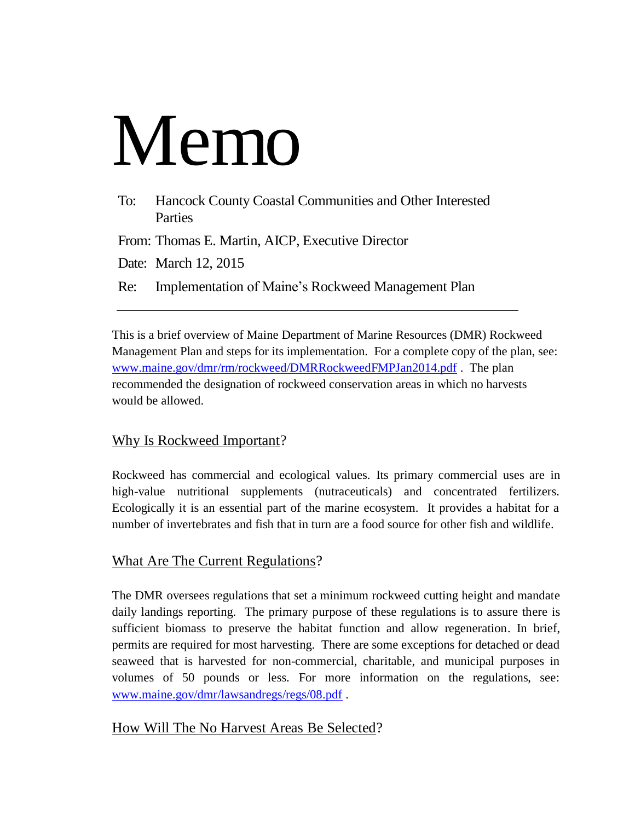# Memo

| To: | Hancock County Coastal Communities and Other Interested<br>Parties |
|-----|--------------------------------------------------------------------|
|     | From: Thomas E. Martin, AICP, Executive Director                   |
|     | Date: March 12, 2015                                               |
|     | Re: Implementation of Maine's Rockweed Management Plan             |

This is a brief overview of Maine Department of Marine Resources (DMR) Rockweed Management Plan and steps for its implementation. For a complete copy of the plan, see: [www.maine.gov/dmr/rm/rockweed/DMRRockweedFMPJan2014.pdf](http://www.maine.gov/dmr/rm/rockweed/DMRRockweedFMPJan2014.pdf) . The plan recommended the designation of rockweed conservation areas in which no harvests would be allowed.

# Why Is Rockweed Important?

Rockweed has commercial and ecological values. Its primary commercial uses are in high-value nutritional supplements (nutraceuticals) and concentrated fertilizers. Ecologically it is an essential part of the marine ecosystem. It provides a habitat for a number of invertebrates and fish that in turn are a food source for other fish and wildlife.

# What Are The Current Regulations?

The DMR oversees regulations that set a minimum rockweed cutting height and mandate daily landings reporting. The primary purpose of these regulations is to assure there is sufficient biomass to preserve the habitat function and allow regeneration. In brief, permits are required for most harvesting. There are some exceptions for detached or dead seaweed that is harvested for non-commercial, charitable, and municipal purposes in volumes of 50 pounds or less. For more information on the regulations, see: [www.maine.gov/dmr/lawsandregs/regs/08.pdf](http://www.maine.gov/dmr/lawsandregs/regs/08.pdf) .

### How Will The No Harvest Areas Be Selected?